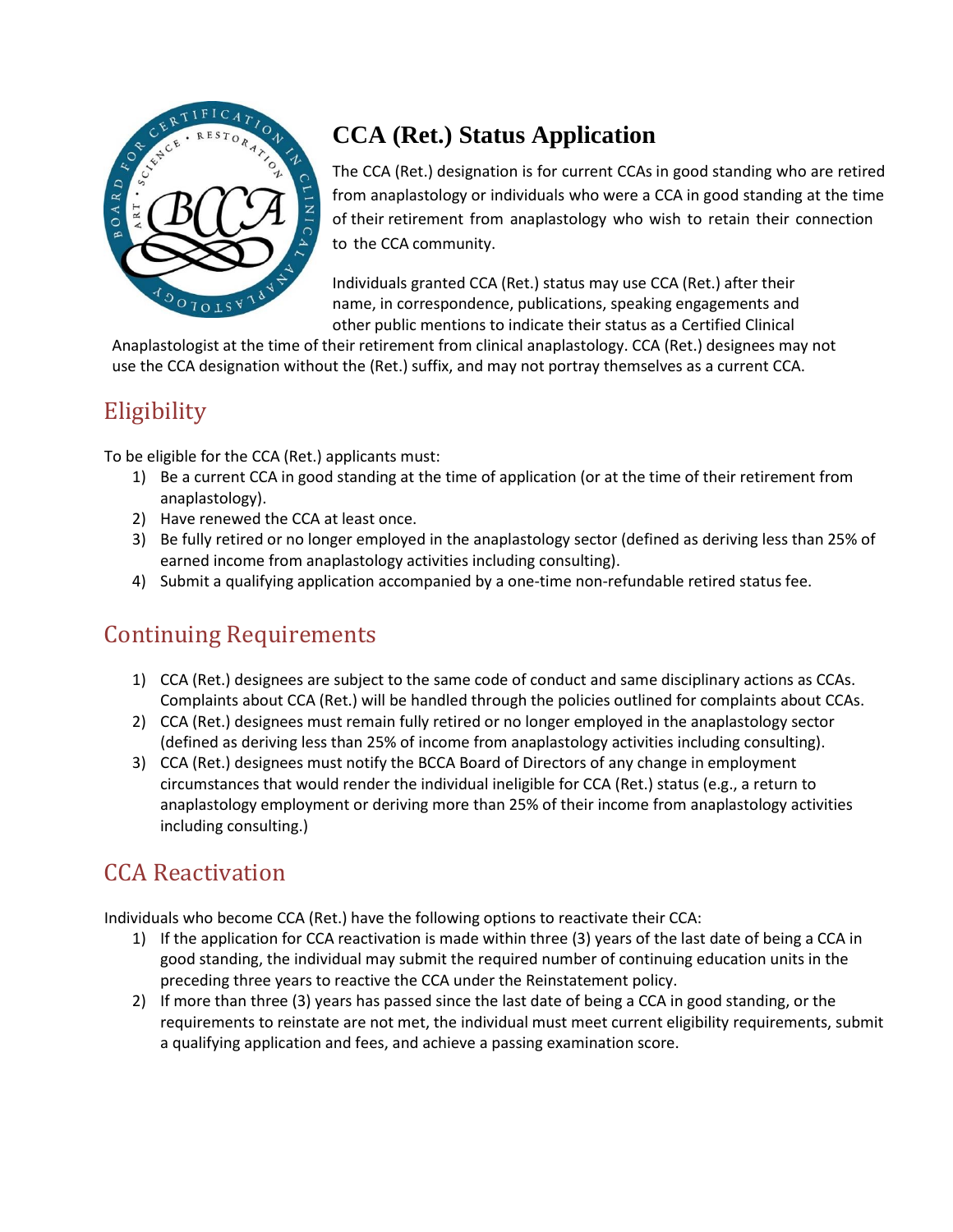

# **CCA (Ret.) Status Application**

The CCA (Ret.) designation is for current CCAs in good standing who are retired from anaplastology or individuals who were a CCA in good standing at the time of their retirement from anaplastology who wish to retain their connection to the CCA community.

Individuals granted CCA (Ret.) status may use CCA (Ret.) after their name, in correspondence, publications, speaking engagements and other public mentions to indicate their status as a Certified Clinical

Anaplastologist at the time of their retirement from clinical anaplastology. CCA (Ret.) designees may not use the CCA designation without the (Ret.) suffix, and may not portray themselves as a current CCA.

#### **Eligibility**

To be eligible for the CCA (Ret.) applicants must:

- 1) Be a current CCA in good standing at the time of application (or at the time of their retirement from anaplastology).
- 2) Have renewed the CCA at least once.
- 3) Be fully retired or no longer employed in the anaplastology sector (defined as deriving less than 25% of earned income from anaplastology activities including consulting).
- 4) Submit a qualifying application accompanied by a one-time non-refundable retired status fee.

## Continuing Requirements

- 1) CCA (Ret.) designees are subject to the same code of conduct and same disciplinary actions as CCAs. Complaints about CCA (Ret.) will be handled through the policies outlined for complaints about CCAs.
- 2) CCA (Ret.) designees must remain fully retired or no longer employed in the anaplastology sector (defined as deriving less than 25% of income from anaplastology activities including consulting).
- 3) CCA (Ret.) designees must notify the BCCA Board of Directors of any change in employment circumstances that would render the individual ineligible for CCA (Ret.) status (e.g., a return to anaplastology employment or deriving more than 25% of their income from anaplastology activities including consulting.)

## CCA Reactivation

Individuals who become CCA (Ret.) have the following options to reactivate their CCA:

- 1) If the application for CCA reactivation is made within three (3) years of the last date of being a CCA in good standing, the individual may submit the required number of continuing education units in the preceding three years to reactive the CCA under the Reinstatement policy.
- 2) If more than three (3) years has passed since the last date of being a CCA in good standing, or the requirements to reinstate are not met, the individual must meet current eligibility requirements, submit a qualifying application and fees, and achieve a passing examination score.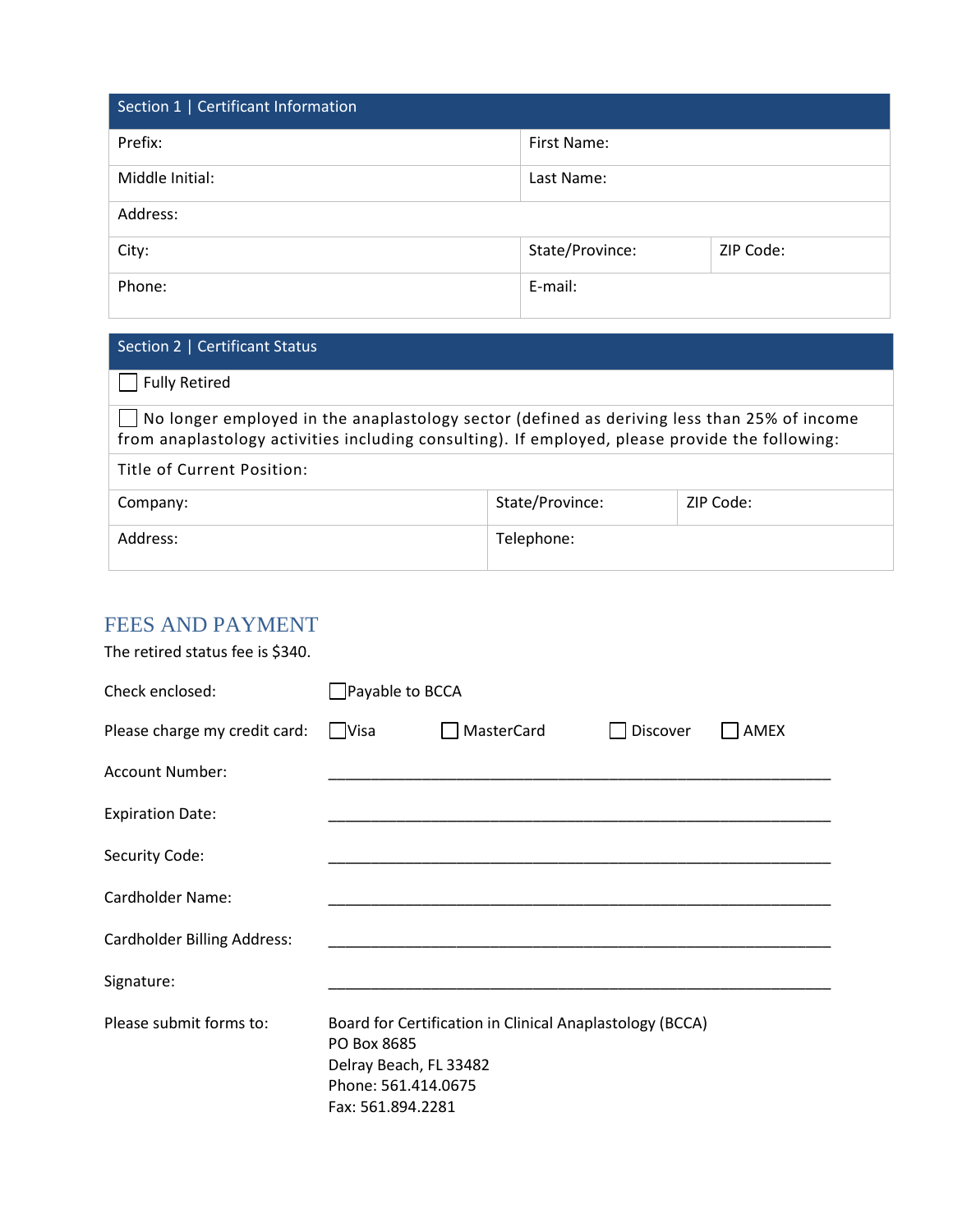| Section 1   Certificant Information |                 |           |  |
|-------------------------------------|-----------------|-----------|--|
| Prefix:                             | First Name:     |           |  |
| Middle Initial:                     | Last Name:      |           |  |
| Address:                            |                 |           |  |
| City:                               | State/Province: | ZIP Code: |  |
| Phone:                              | E-mail:         |           |  |

| Section 2   Certificant Status                                                                                                                                                                 |                 |           |  |  |
|------------------------------------------------------------------------------------------------------------------------------------------------------------------------------------------------|-----------------|-----------|--|--|
| <b>Fully Retired</b>                                                                                                                                                                           |                 |           |  |  |
| No longer employed in the anaplastology sector (defined as deriving less than 25% of income<br>from anaplastology activities including consulting). If employed, please provide the following: |                 |           |  |  |
| Title of Current Position:                                                                                                                                                                     |                 |           |  |  |
| Company:                                                                                                                                                                                       | State/Province: | ZIP Code: |  |  |
| Address:                                                                                                                                                                                       | Telephone:      |           |  |  |

#### FEES AND PAYMENT

Fax:

The retired status fee is \$340.

| Check enclosed:                    | Payable to BCCA                                                                                                                               |            |          |      |
|------------------------------------|-----------------------------------------------------------------------------------------------------------------------------------------------|------------|----------|------|
| Please charge my credit card:      | $\Box$ Visa                                                                                                                                   | MasterCard | Discover | AMEX |
| <b>Account Number:</b>             |                                                                                                                                               |            |          |      |
| <b>Expiration Date:</b>            |                                                                                                                                               |            |          |      |
| Security Code:                     |                                                                                                                                               |            |          |      |
| <b>Cardholder Name:</b>            |                                                                                                                                               |            |          |      |
| <b>Cardholder Billing Address:</b> |                                                                                                                                               |            |          |      |
| Signature:                         |                                                                                                                                               |            |          |      |
| Please submit forms to:            | Board for Certification in Clinical Anaplastology (BCCA)<br>PO Box 8685<br>Delray Beach, FL 33482<br>Phone: 561.414.0675<br>Fax: 561.894.2281 |            |          |      |